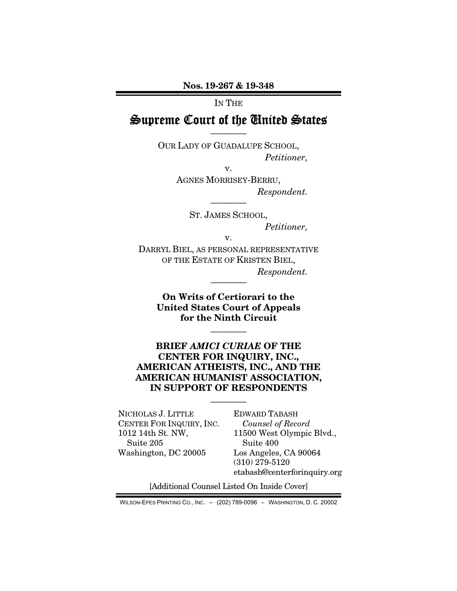### IN THE

# Supreme Court of the United States ————

OUR LADY OF GUADALUPE SCHOOL, *Petitioner,* 

v.

AGNES MORRISEY-BERRU, *Respondent.*  ————

> ST. JAMES SCHOOL, *Petitioner,*

> > v.

DARRYL BIEL, AS PERSONAL REPRESENTATIVE OF THE ESTATE OF KRISTEN BIEL, *Respondent.* 

> On Writs of Certiorari to the United States Court of Appeals for the Ninth Circuit

> > ————

————

## BRIEF *AMICI CURIAE* OF THE CENTER FOR INQUIRY, INC., AMERICAN ATHEISTS, INC., AND THE AMERICAN HUMANIST ASSOCIATION, IN SUPPORT OF RESPONDENTS

————

NICHOLAS J. LITTLE CENTER FOR INQUIRY, INC. 1012 14th St. NW, Suite 205 Washington, DC 20005

EDWARD TABASH *Counsel of Record* 11500 West Olympic Blvd., Suite 400 Los Angeles, CA 90064 (310) 279-5120 etabash@centerforinquiry.org

[Additional Counsel Listed On Inside Cover]

WILSON-EPES PRINTING CO., INC. – (202) 789-0096 – WASHINGTON, D. C. 20002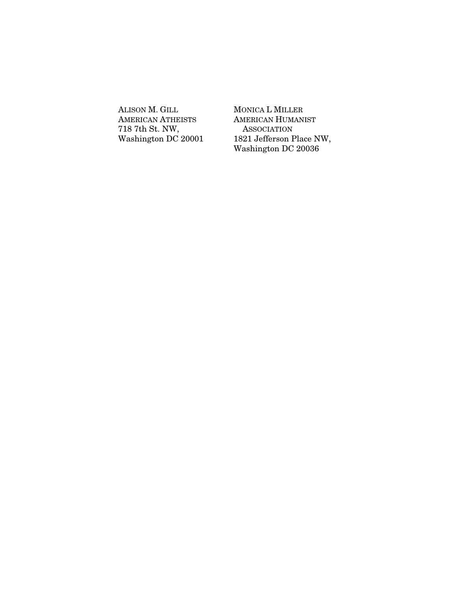ALISON M. GILL AMERICAN ATHEISTS 718 7th St. NW, Washington DC 20001 MONICA L MILLER AMERICAN HUMANIST **ASSOCIATION** 1821 Jefferson Place NW, Washington DC 20036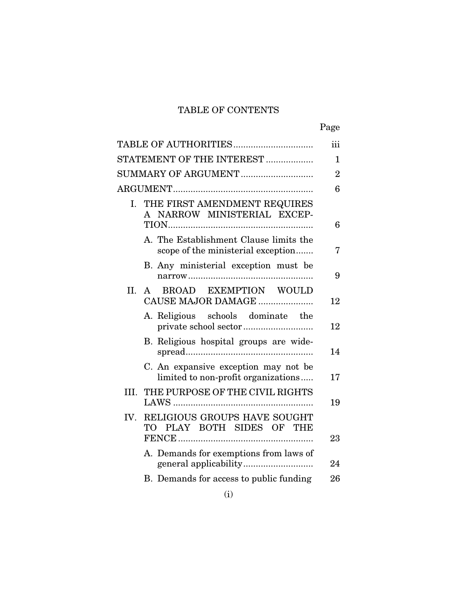# TABLE OF CONTENTS

|         | TABLE OF AUTHORITIES                                                         | iii            |
|---------|------------------------------------------------------------------------------|----------------|
|         | STATEMENT OF THE INTEREST                                                    | 1              |
|         | SUMMARY OF ARGUMENT                                                          | $\overline{2}$ |
|         |                                                                              | 6              |
| I.      | THE FIRST AMENDMENT REQUIRES<br>A NARROW MINISTERIAL EXCEP-                  | 6              |
|         | A. The Establishment Clause limits the<br>scope of the ministerial exception | 7              |
|         | B. Any ministerial exception must be                                         | 9              |
| $\Pi$ . | A BROAD EXEMPTION WOULD<br>CAUSE MAJOR DAMAGE                                | 12             |
|         | A. Religious schools dominate the                                            | 12             |
|         | B. Religious hospital groups are wide-                                       | 14             |
|         | C. An expansive exception may not be<br>limited to non-profit organizations  | 17             |
| III.    | THE PURPOSE OF THE CIVIL RIGHTS                                              | 19             |
| IV.     | RELIGIOUS GROUPS HAVE SOUGHT<br>TO PLAY BOTH SIDES OF THE                    | 23             |
|         | A. Demands for exemptions from laws of                                       | 24             |
|         | B. Demands for access to public funding                                      | 26             |
|         |                                                                              |                |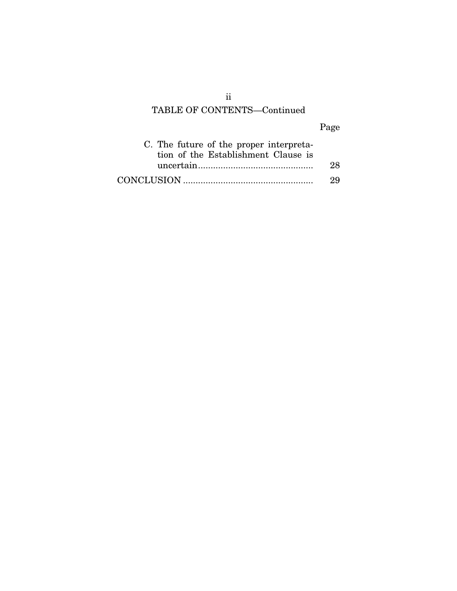# TABLE OF CONTENTS—Continued

# Page

| C. The future of the proper interpreta-<br>tion of the Establishment Clause is |     |
|--------------------------------------------------------------------------------|-----|
|                                                                                | 28. |
|                                                                                | 29  |

ii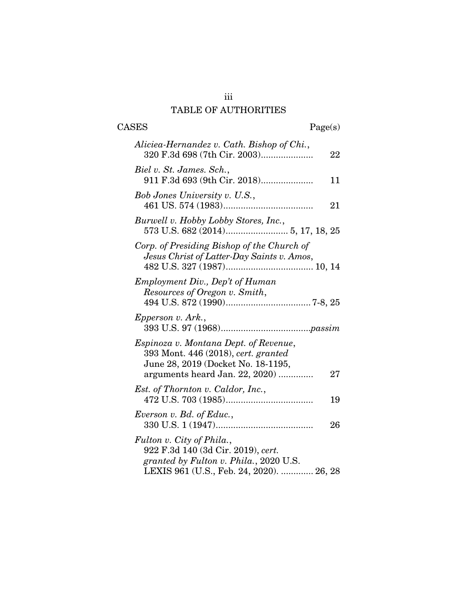# iii TABLE OF AUTHORITIES

# $\begin{tabular}{cc} \textbf{CASES} & \textbf{Page(s)}\\ \end{tabular}$

| Aliciea-Hernandez v. Cath. Bishop of Chi.,<br>320 F.3d 698 (7th Cir. 2003)                                                                            | 22 |
|-------------------------------------------------------------------------------------------------------------------------------------------------------|----|
| Biel v. St. James. Sch.,<br>911 F.3d 693 (9th Cir. 2018)                                                                                              | 11 |
| Bob Jones University v. U.S.,                                                                                                                         | 21 |
| Burwell v. Hobby Lobby Stores, Inc.,                                                                                                                  |    |
| Corp. of Presiding Bishop of the Church of<br>Jesus Christ of Latter-Day Saints v. Amos,                                                              |    |
| Employment Div., Dep't of Human<br>Resources of Oregon v. Smith,                                                                                      |    |
| Epperson v. Ark.,                                                                                                                                     |    |
| Espinoza v. Montana Dept. of Revenue,<br>393 Mont. 446 (2018), cert. granted<br>June 28, 2019 (Docket No. 18-1195,<br>arguments heard Jan. 22, 2020)  | 27 |
| Est. of Thornton v. Caldor, Inc.,                                                                                                                     | 19 |
| Everson v. Bd. of Educ.,                                                                                                                              | 26 |
| Fulton v. City of Phila.,<br>922 F.3d 140 (3d Cir. 2019), cert.<br>granted by Fulton v. Phila., 2020 U.S.<br>LEXIS 961 (U.S., Feb. 24, 2020).  26, 28 |    |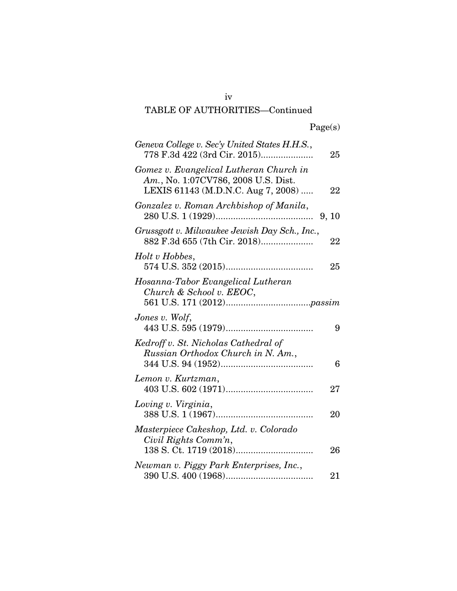# TABLE OF AUTHORITIES—Continued

| Geneva College v. Sec'y United States H.H.S.,<br>778 F.3d 422 (3rd Cir. 2015)                                        | 25    |
|----------------------------------------------------------------------------------------------------------------------|-------|
| Gomez v. Evangelical Lutheran Church in<br>Am., No. 1:07CV786, 2008 U.S. Dist.<br>LEXIS 61143 (M.D.N.C. Aug 7, 2008) | 22    |
| Gonzalez v. Roman Archbishop of Manila,                                                                              | 9, 10 |
| Grussgott v. Milwaukee Jewish Day Sch., Inc.,                                                                        | 22    |
| Holt v Hobbes,                                                                                                       | 25    |
| Hosanna-Tabor Evangelical Lutheran<br>Church & School v. EEOC,                                                       |       |
| Jones v. Wolf,                                                                                                       | 9     |
| Kedroff v. St. Nicholas Cathedral of<br>Russian Orthodox Church in N. Am.,                                           | 6     |
| Lemon v. Kurtzman,                                                                                                   | 27    |
| Loving v. Virginia,                                                                                                  | 20    |
| Masterpiece Cakeshop, Ltd. v. Colorado<br>Civil Rights Comm'n,                                                       | 26    |
| Newman v. Piggy Park Enterprises, Inc.,                                                                              | 21    |

iv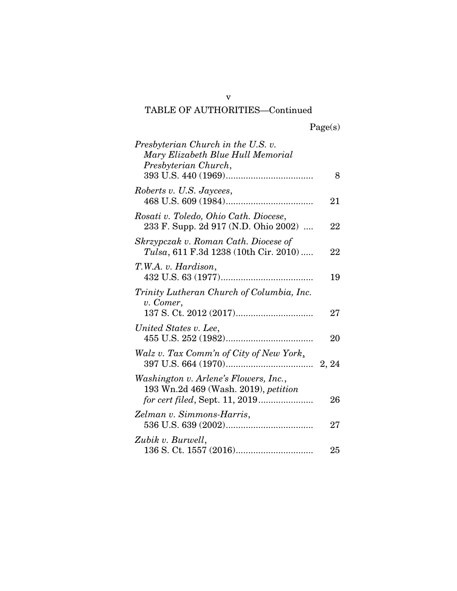# TABLE OF AUTHORITIES—Continued

|  | Page(s) |
|--|---------|
|  |         |

| Presbyterian Church in the U.S. v.<br>Mary Elizabeth Blue Hull Memorial<br>Presbyterian Church, |    |
|-------------------------------------------------------------------------------------------------|----|
|                                                                                                 | 8  |
| Roberts v. U.S. Jaycees,                                                                        | 21 |
| Rosati v. Toledo, Ohio Cath. Diocese,<br>233 F. Supp. 2d 917 (N.D. Ohio 2002)                   | 22 |
| Skrzypczak v. Roman Cath. Diocese of<br>Tulsa, 611 F.3d 1238 (10th Cir. 2010)                   | 22 |
| T.W.A. v. Hardison,                                                                             | 19 |
| Trinity Lutheran Church of Columbia, Inc.<br>v. Comer,                                          | 27 |
| United States v. Lee,                                                                           | 20 |
| Walz v. Tax Comm'n of City of New York,                                                         |    |
| Washington v. Arlene's Flowers, Inc.,<br>193 Wn.2d 469 (Wash. 2019), petition                   | 26 |
| Zelman v. Simmons-Harris,                                                                       | 27 |
| Zubik v. Burwell,                                                                               | 25 |

v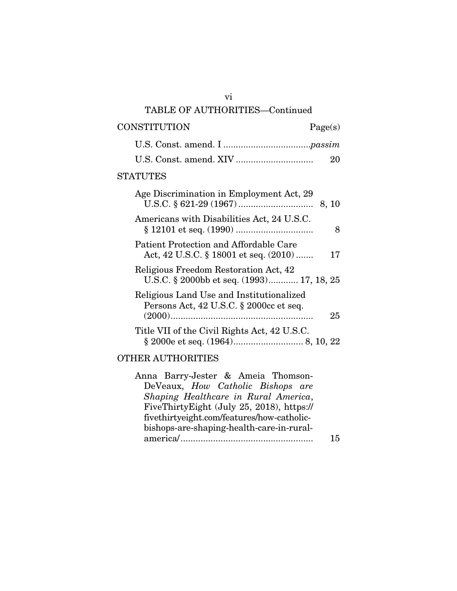# TABLE OF AUTHORITIES—Continued CONSTITUTION Page(s) U.S. Const. amend. I ...................................*passim* U.S. Const. amend. XIV ............................... 20 STATUTES Age Discrimination in Employment Act, 29 U.S.C. § 621-29 (1967) .............................. 8, 10 Americans with Disabilities Act, 24 U.S.C. § 12101 et seq. (1990) ............................... 8 Patient Protection and Affordable Care Act, 42 U.S.C. § 18001 et seq. (2010) ....... 17 Religious Freedom Restoration Act, 42 U.S.C. § 2000bb et seq. (1993)............. 17, 18, 25 Religious Land Use and Institutionalized Persons Act, 42 U.S.C. § 2000cc et seq. (2000) ......................................................... 25 Title VII of the Civil Rights Act, 42 U.S.C. § 2000e et seq. (1964) ............................ 8, 10, 22 OTHER AUTHORITIES

Anna Barry-Jester & Ameia Thomson-DeVeaux, *How Catholic Bishops are Shaping Healthcare in Rural America*, FiveThirtyEight (July 25, 2018), https:// fivethirtyeight.com/features/how-catholicbishops-are-shaping-health-care-in-ruralamerica/ ..................................................... 15

vi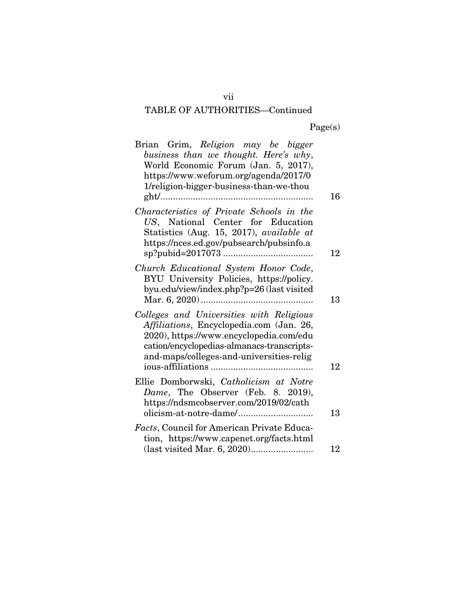# TABLE OF AUTHORITIES—Continued

| Brian Grim, Religion may be bigger<br>business than we thought. Here's why,<br>World Economic Forum (Jan. 5, 2017),<br>https://www.weforum.org/agenda/2017/0<br>1/religion-bigger-business-than-we-thou                   | 16 |
|---------------------------------------------------------------------------------------------------------------------------------------------------------------------------------------------------------------------------|----|
| Characteristics of Private Schools in the<br>US, National Center for Education<br>Statistics (Aug. 15, 2017), available at<br>https://nces.ed.gov/pubsearch/pubsinfo.a                                                    | 12 |
| Church Educational System Honor Code,<br>BYU University Policies, https://policy.<br>byu.edu/view/index.php?p=26 (last visited                                                                                            | 13 |
| Colleges and Universities with Religious<br>Affiliations, Encyclopedia.com (Jan. 26,<br>2020), https://www.encyclopedia.com/edu<br>cation/encyclopedias-almanacs-transcripts-<br>and-maps/colleges-and-universities-relig | 12 |
| Ellie Domborwski, Catholicism at Notre<br>Dame, The Observer (Feb. 8. 2019),<br>https://ndsmcobserver.com/2019/02/cath                                                                                                    | 13 |
| Facts, Council for American Private Educa-<br>tion, https://www.capenet.org/facts.html                                                                                                                                    | 12 |

vii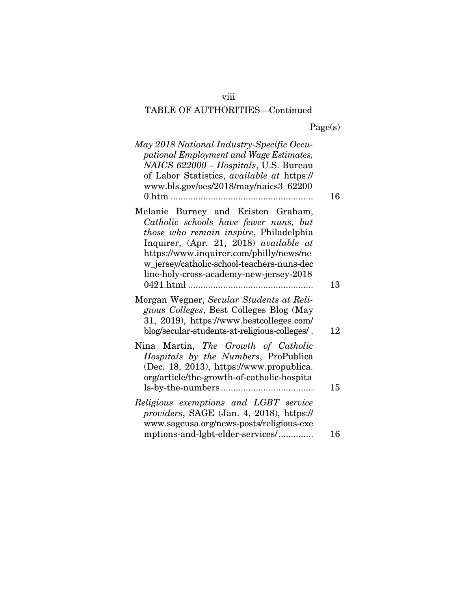# viii

# TABLE OF AUTHORITIES—Continued

|  | Page(s) |
|--|---------|
|  |         |

| May 2018 National Industry-Specific Occu-<br>pational Employment and Wage Estimates,<br>NAICS 622000 - Hospitals, U.S. Bureau<br>of Labor Statistics, available at https://<br>www.bls.gov/oes/2018/may/naics3_62200<br>$0.$ htm                                                                    | 16       |
|-----------------------------------------------------------------------------------------------------------------------------------------------------------------------------------------------------------------------------------------------------------------------------------------------------|----------|
| Melanie Burney and Kristen Graham,<br>Catholic schools have fewer nuns, but<br>those who remain inspire, Philadelphia<br>Inquirer, (Apr. 21, 2018) available at<br>https://www.inquirer.com/philly/news/ne<br>w_jersey/catholic-school-teachers-nuns-dec<br>line-holy-cross-academy-new-jersey-2018 | 13       |
| Morgan Wegner, Secular Students at Reli-<br>gious Colleges, Best Colleges Blog (May<br>31, 2019), https://www.bestcolleges.com/                                                                                                                                                                     |          |
| blog/secular-students-at-religious-colleges/.<br>Nina Martin, The Growth of Catholic<br>Hospitals by the Numbers, ProPublica<br>(Dec. 18, 2013), https://www.propublica.<br>org/article/the-growth-of-catholic-hospita                                                                              | 12<br>15 |
| Religious exemptions and LGBT service<br>providers, SAGE (Jan. 4, 2018), https://<br>www.sageusa.org/news-posts/religious-exe<br>mptions-and-lgbt-elder-services/                                                                                                                                   | 16       |
|                                                                                                                                                                                                                                                                                                     |          |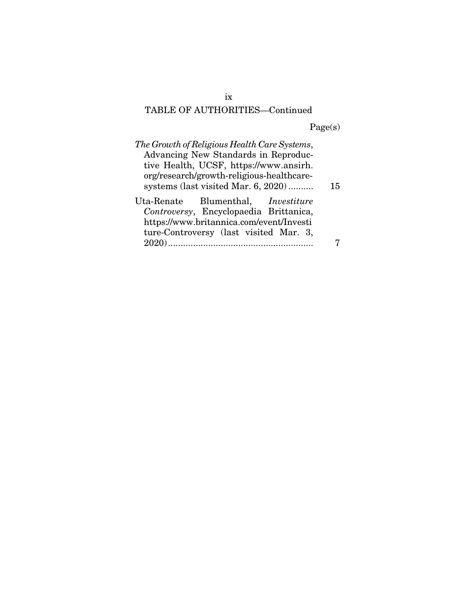# TABLE OF AUTHORITIES—Continued

Page(s)

| The Growth of Religious Health Care Systems, |    |
|----------------------------------------------|----|
| Advancing New Standards in Reproduc-         |    |
| tive Health, UCSF, https://www.ansirh.       |    |
| org/research/growth-religious-healthcare-    |    |
| systems (last visited Mar. 6, 2020)          | 15 |
| Uta-Renate Blumenthal, <i>Investiture</i>    |    |
| Controversy, Encyclopaedia Brittanica,       |    |
| https://www.britannica.com/event/Investi     |    |
| ture-Controversy (last visited Mar. 3,       |    |
|                                              |    |
|                                              |    |

ix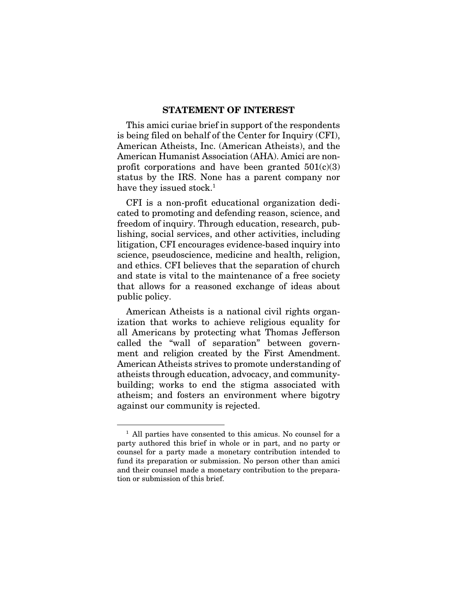#### STATEMENT OF INTEREST

This amici curiae brief in support of the respondents is being filed on behalf of the Center for Inquiry (CFI), American Atheists, Inc. (American Atheists), and the American Humanist Association (AHA). Amici are nonprofit corporations and have been granted  $501(c)(3)$ status by the IRS. None has a parent company nor have they issued stock.<sup>1</sup>

CFI is a non-profit educational organization dedicated to promoting and defending reason, science, and freedom of inquiry. Through education, research, publishing, social services, and other activities, including litigation, CFI encourages evidence-based inquiry into science, pseudoscience, medicine and health, religion, and ethics. CFI believes that the separation of church and state is vital to the maintenance of a free society that allows for a reasoned exchange of ideas about public policy.

American Atheists is a national civil rights organization that works to achieve religious equality for all Americans by protecting what Thomas Jefferson called the "wall of separation" between government and religion created by the First Amendment. American Atheists strives to promote understanding of atheists through education, advocacy, and communitybuilding; works to end the stigma associated with atheism; and fosters an environment where bigotry against our community is rejected.

<sup>&</sup>lt;sup>1</sup> All parties have consented to this amicus. No counsel for a party authored this brief in whole or in part, and no party or counsel for a party made a monetary contribution intended to fund its preparation or submission. No person other than amici and their counsel made a monetary contribution to the preparation or submission of this brief.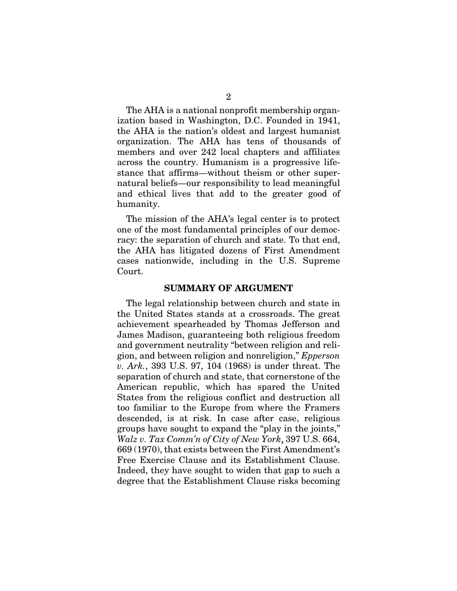The AHA is a national nonprofit membership organization based in Washington, D.C. Founded in 1941, the AHA is the nation's oldest and largest humanist organization. The AHA has tens of thousands of members and over 242 local chapters and affiliates across the country. Humanism is a progressive lifestance that affirms—without theism or other supernatural beliefs—our responsibility to lead meaningful and ethical lives that add to the greater good of humanity.

The mission of the AHA's legal center is to protect one of the most fundamental principles of our democracy: the separation of church and state. To that end, the AHA has litigated dozens of First Amendment cases nationwide, including in the U.S. Supreme Court.

#### SUMMARY OF ARGUMENT

The legal relationship between church and state in the United States stands at a crossroads. The great achievement spearheaded by Thomas Jefferson and James Madison, guaranteeing both religious freedom and government neutrality "between religion and religion, and between religion and nonreligion," *Epperson v. Ark.*, 393 U.S. 97, 104 (1968) is under threat. The separation of church and state, that cornerstone of the American republic, which has spared the United States from the religious conflict and destruction all too familiar to the Europe from where the Framers descended, is at risk. In case after case, religious groups have sought to expand the "play in the joints," *Walz v. Tax Comm'n of City of New York*, 397 U.S. 664, 669 (1970), that exists between the First Amendment's Free Exercise Clause and its Establishment Clause. Indeed, they have sought to widen that gap to such a degree that the Establishment Clause risks becoming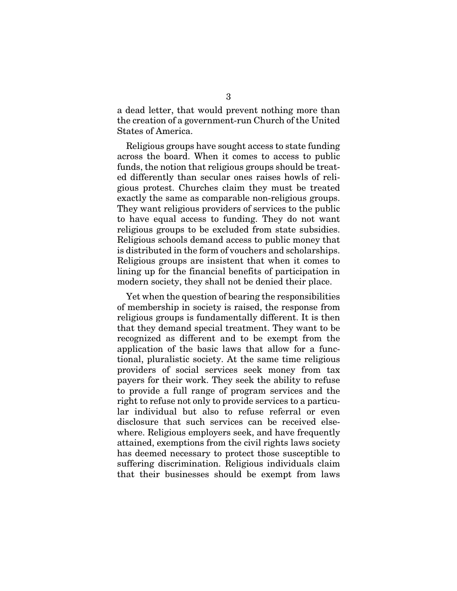a dead letter, that would prevent nothing more than the creation of a government-run Church of the United States of America.

Religious groups have sought access to state funding across the board. When it comes to access to public funds, the notion that religious groups should be treated differently than secular ones raises howls of religious protest. Churches claim they must be treated exactly the same as comparable non-religious groups. They want religious providers of services to the public to have equal access to funding. They do not want religious groups to be excluded from state subsidies. Religious schools demand access to public money that is distributed in the form of vouchers and scholarships. Religious groups are insistent that when it comes to lining up for the financial benefits of participation in modern society, they shall not be denied their place.

Yet when the question of bearing the responsibilities of membership in society is raised, the response from religious groups is fundamentally different. It is then that they demand special treatment. They want to be recognized as different and to be exempt from the application of the basic laws that allow for a functional, pluralistic society. At the same time religious providers of social services seek money from tax payers for their work. They seek the ability to refuse to provide a full range of program services and the right to refuse not only to provide services to a particular individual but also to refuse referral or even disclosure that such services can be received elsewhere. Religious employers seek, and have frequently attained, exemptions from the civil rights laws society has deemed necessary to protect those susceptible to suffering discrimination. Religious individuals claim that their businesses should be exempt from laws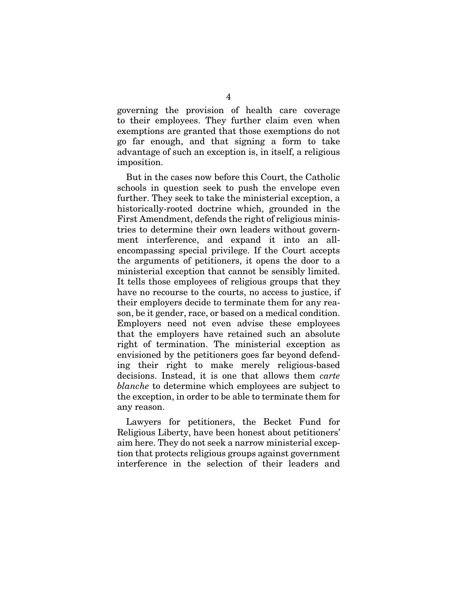governing the provision of health care coverage to their employees. They further claim even when exemptions are granted that those exemptions do not go far enough, and that signing a form to take advantage of such an exception is, in itself, a religious imposition.

But in the cases now before this Court, the Catholic schools in question seek to push the envelope even further. They seek to take the ministerial exception, a historically-rooted doctrine which, grounded in the First Amendment, defends the right of religious ministries to determine their own leaders without government interference, and expand it into an allencompassing special privilege. If the Court accepts the arguments of petitioners, it opens the door to a ministerial exception that cannot be sensibly limited. It tells those employees of religious groups that they have no recourse to the courts, no access to justice, if their employers decide to terminate them for any reason, be it gender, race, or based on a medical condition. Employers need not even advise these employees that the employers have retained such an absolute right of termination. The ministerial exception as envisioned by the petitioners goes far beyond defending their right to make merely religious-based decisions. Instead, it is one that allows them *carte blanche* to determine which employees are subject to the exception, in order to be able to terminate them for any reason.

Lawyers for petitioners, the Becket Fund for Religious Liberty, have been honest about petitioners' aim here. They do not seek a narrow ministerial exception that protects religious groups against government interference in the selection of their leaders and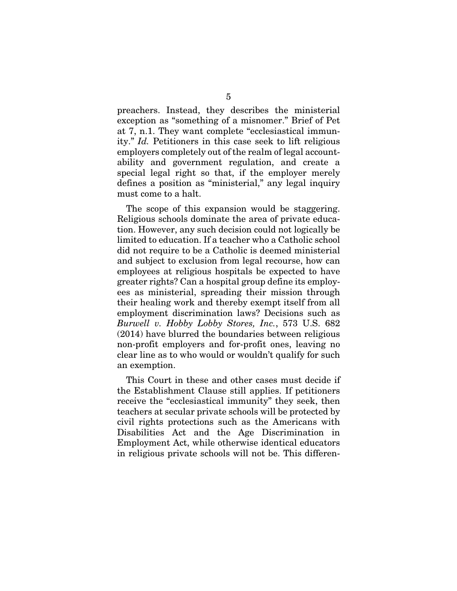preachers. Instead, they describes the ministerial exception as "something of a misnomer." Brief of Pet at 7, n.1. They want complete "ecclesiastical immunity." *Id.* Petitioners in this case seek to lift religious employers completely out of the realm of legal accountability and government regulation, and create a special legal right so that, if the employer merely defines a position as "ministerial," any legal inquiry must come to a halt.

The scope of this expansion would be staggering. Religious schools dominate the area of private education. However, any such decision could not logically be limited to education. If a teacher who a Catholic school did not require to be a Catholic is deemed ministerial and subject to exclusion from legal recourse, how can employees at religious hospitals be expected to have greater rights? Can a hospital group define its employees as ministerial, spreading their mission through their healing work and thereby exempt itself from all employment discrimination laws? Decisions such as *Burwell v. Hobby Lobby Stores, Inc.*, 573 U.S. 682 (2014) have blurred the boundaries between religious non-profit employers and for-profit ones, leaving no clear line as to who would or wouldn't qualify for such an exemption.

This Court in these and other cases must decide if the Establishment Clause still applies. If petitioners receive the "ecclesiastical immunity" they seek, then teachers at secular private schools will be protected by civil rights protections such as the Americans with Disabilities Act and the Age Discrimination in Employment Act, while otherwise identical educators in religious private schools will not be. This differen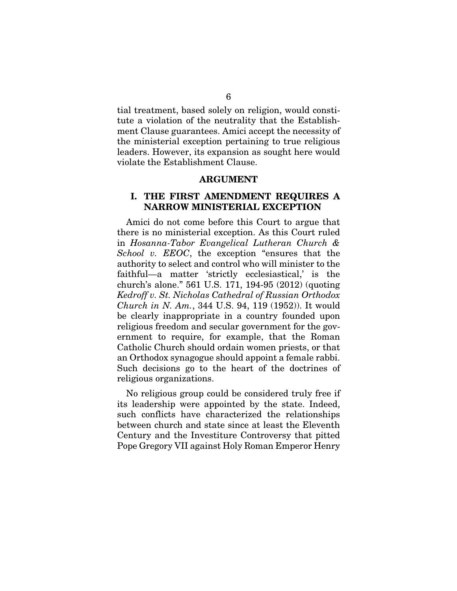tial treatment, based solely on religion, would constitute a violation of the neutrality that the Establishment Clause guarantees. Amici accept the necessity of the ministerial exception pertaining to true religious leaders. However, its expansion as sought here would violate the Establishment Clause.

#### ARGUMENT

### I. THE FIRST AMENDMENT REQUIRES A NARROW MINISTERIAL EXCEPTION

Amici do not come before this Court to argue that there is no ministerial exception. As this Court ruled in *Hosanna-Tabor Evangelical Lutheran Church & School v. EEOC*, the exception "ensures that the authority to select and control who will minister to the faithful—a matter 'strictly ecclesiastical,' is the church's alone." 561 U.S. 171, 194-95 (2012) (quoting *Kedroff v. St. Nicholas Cathedral of Russian Orthodox Church in N. Am.*, 344 U.S. 94, 119 (1952)). It would be clearly inappropriate in a country founded upon religious freedom and secular government for the government to require, for example, that the Roman Catholic Church should ordain women priests, or that an Orthodox synagogue should appoint a female rabbi. Such decisions go to the heart of the doctrines of religious organizations.

No religious group could be considered truly free if its leadership were appointed by the state. Indeed, such conflicts have characterized the relationships between church and state since at least the Eleventh Century and the Investiture Controversy that pitted Pope Gregory VII against Holy Roman Emperor Henry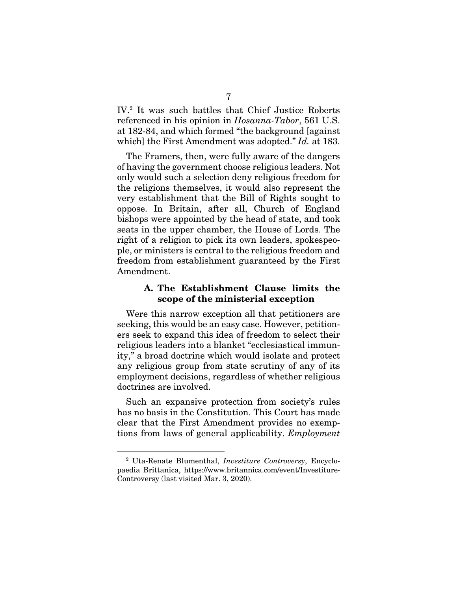IV.2 It was such battles that Chief Justice Roberts referenced in his opinion in *Hosanna-Tabor*, 561 U.S. at 182-84, and which formed "the background [against which] the First Amendment was adopted." *Id.* at 183.

The Framers, then, were fully aware of the dangers of having the government choose religious leaders. Not only would such a selection deny religious freedom for the religions themselves, it would also represent the very establishment that the Bill of Rights sought to oppose. In Britain, after all, Church of England bishops were appointed by the head of state, and took seats in the upper chamber, the House of Lords. The right of a religion to pick its own leaders, spokespeople, or ministers is central to the religious freedom and freedom from establishment guaranteed by the First Amendment.

### A. The Establishment Clause limits the scope of the ministerial exception

Were this narrow exception all that petitioners are seeking, this would be an easy case. However, petitioners seek to expand this idea of freedom to select their religious leaders into a blanket "ecclesiastical immunity," a broad doctrine which would isolate and protect any religious group from state scrutiny of any of its employment decisions, regardless of whether religious doctrines are involved.

Such an expansive protection from society's rules has no basis in the Constitution. This Court has made clear that the First Amendment provides no exemptions from laws of general applicability. *Employment* 

<sup>2</sup> Uta-Renate Blumenthal, *Investiture Controversy*, Encyclopaedia Brittanica, https://www.britannica.com/event/Investiture-Controversy (last visited Mar. 3, 2020).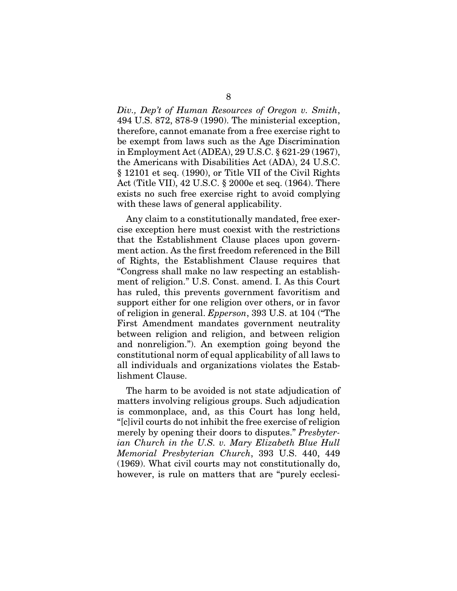*Div., Dep't of Human Resources of Oregon v. Smith*, 494 U.S. 872, 878-9 (1990). The ministerial exception, therefore, cannot emanate from a free exercise right to be exempt from laws such as the Age Discrimination in Employment Act (ADEA), 29 U.S.C. § 621-29 (1967), the Americans with Disabilities Act (ADA), 24 U.S.C. § 12101 et seq. (1990), or Title VII of the Civil Rights Act (Title VII), 42 U.S.C. § 2000e et seq. (1964). There exists no such free exercise right to avoid complying with these laws of general applicability.

Any claim to a constitutionally mandated, free exercise exception here must coexist with the restrictions that the Establishment Clause places upon government action. As the first freedom referenced in the Bill of Rights, the Establishment Clause requires that "Congress shall make no law respecting an establishment of religion." U.S. Const. amend. I. As this Court has ruled, this prevents government favoritism and support either for one religion over others, or in favor of religion in general. *Epperson*, 393 U.S. at 104 ("The First Amendment mandates government neutrality between religion and religion, and between religion and nonreligion."). An exemption going beyond the constitutional norm of equal applicability of all laws to all individuals and organizations violates the Establishment Clause.

The harm to be avoided is not state adjudication of matters involving religious groups. Such adjudication is commonplace, and, as this Court has long held, "[c]ivil courts do not inhibit the free exercise of religion merely by opening their doors to disputes." *Presbyterian Church in the U.S. v. Mary Elizabeth Blue Hull Memorial Presbyterian Church*, 393 U.S. 440, 449 (1969). What civil courts may not constitutionally do, however, is rule on matters that are "purely ecclesi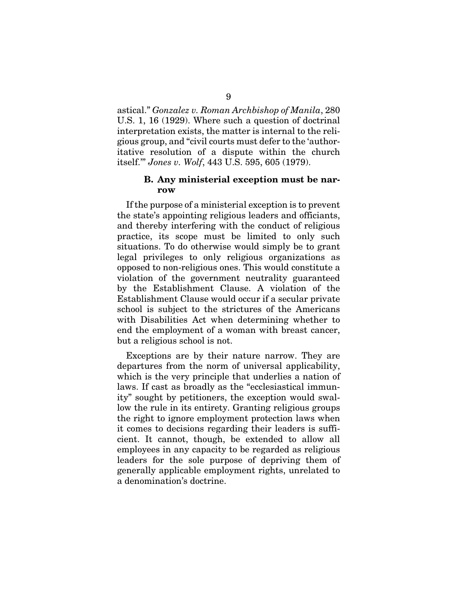astical." *Gonzalez v. Roman Archbishop of Manila*, 280 U.S. 1, 16 (1929). Where such a question of doctrinal interpretation exists, the matter is internal to the religious group, and "civil courts must defer to the 'authoritative resolution of a dispute within the church itself.'" *Jones v. Wolf*, 443 U.S. 595, 605 (1979).

### B. Any ministerial exception must be narrow

If the purpose of a ministerial exception is to prevent the state's appointing religious leaders and officiants, and thereby interfering with the conduct of religious practice, its scope must be limited to only such situations. To do otherwise would simply be to grant legal privileges to only religious organizations as opposed to non-religious ones. This would constitute a violation of the government neutrality guaranteed by the Establishment Clause. A violation of the Establishment Clause would occur if a secular private school is subject to the strictures of the Americans with Disabilities Act when determining whether to end the employment of a woman with breast cancer, but a religious school is not.

Exceptions are by their nature narrow. They are departures from the norm of universal applicability, which is the very principle that underlies a nation of laws. If cast as broadly as the "ecclesiastical immunity" sought by petitioners, the exception would swallow the rule in its entirety. Granting religious groups the right to ignore employment protection laws when it comes to decisions regarding their leaders is sufficient. It cannot, though, be extended to allow all employees in any capacity to be regarded as religious leaders for the sole purpose of depriving them of generally applicable employment rights, unrelated to a denomination's doctrine.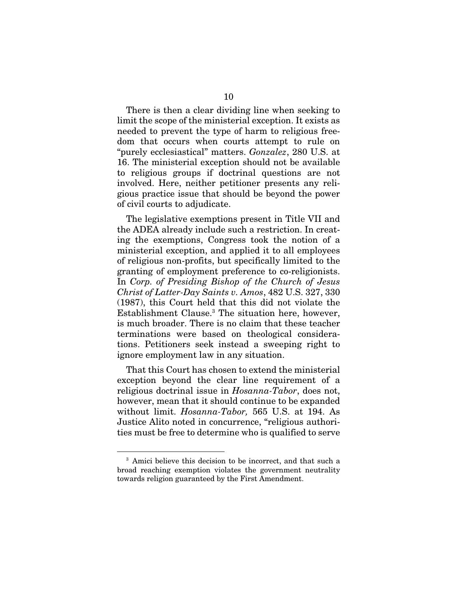There is then a clear dividing line when seeking to limit the scope of the ministerial exception. It exists as needed to prevent the type of harm to religious freedom that occurs when courts attempt to rule on "purely ecclesiastical" matters. *Gonzalez*, 280 U.S. at 16. The ministerial exception should not be available to religious groups if doctrinal questions are not involved. Here, neither petitioner presents any religious practice issue that should be beyond the power of civil courts to adjudicate.

The legislative exemptions present in Title VII and the ADEA already include such a restriction. In creating the exemptions, Congress took the notion of a ministerial exception, and applied it to all employees of religious non-profits, but specifically limited to the granting of employment preference to co-religionists. In *Corp. of Presiding Bishop of the Church of Jesus Christ of Latter-Day Saints v. Amos*, 482 U.S. 327, 330 (1987), this Court held that this did not violate the Establishment Clause.3 The situation here, however, is much broader. There is no claim that these teacher terminations were based on theological considerations. Petitioners seek instead a sweeping right to ignore employment law in any situation.

That this Court has chosen to extend the ministerial exception beyond the clear line requirement of a religious doctrinal issue in *Hosanna-Tabor*, does not, however, mean that it should continue to be expanded without limit. *Hosanna-Tabor,* 565 U.S. at 194. As Justice Alito noted in concurrence, "religious authorities must be free to determine who is qualified to serve

<sup>&</sup>lt;sup>3</sup> Amici believe this decision to be incorrect, and that such a broad reaching exemption violates the government neutrality towards religion guaranteed by the First Amendment.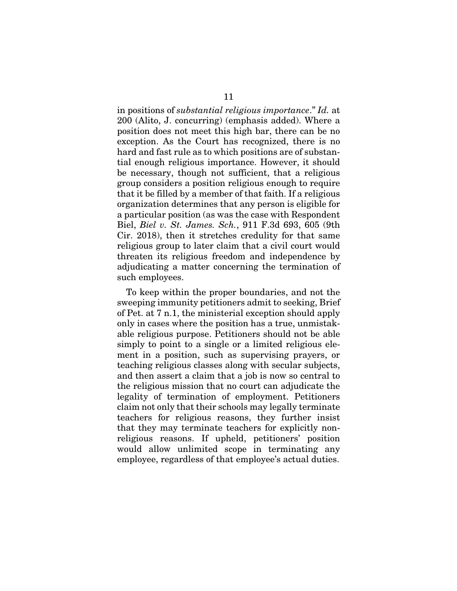in positions of *substantial religious importance*." *Id.* at 200 (Alito, J. concurring) (emphasis added). Where a position does not meet this high bar, there can be no exception. As the Court has recognized, there is no hard and fast rule as to which positions are of substantial enough religious importance. However, it should be necessary, though not sufficient, that a religious group considers a position religious enough to require that it be filled by a member of that faith. If a religious organization determines that any person is eligible for a particular position (as was the case with Respondent Biel, *Biel v. St. James. Sch.*, 911 F.3d 693, 605 (9th Cir. 2018), then it stretches credulity for that same religious group to later claim that a civil court would threaten its religious freedom and independence by adjudicating a matter concerning the termination of such employees.

To keep within the proper boundaries, and not the sweeping immunity petitioners admit to seeking, Brief of Pet. at 7 n.1, the ministerial exception should apply only in cases where the position has a true, unmistakable religious purpose. Petitioners should not be able simply to point to a single or a limited religious element in a position, such as supervising prayers, or teaching religious classes along with secular subjects, and then assert a claim that a job is now so central to the religious mission that no court can adjudicate the legality of termination of employment. Petitioners claim not only that their schools may legally terminate teachers for religious reasons, they further insist that they may terminate teachers for explicitly nonreligious reasons. If upheld, petitioners' position would allow unlimited scope in terminating any employee, regardless of that employee's actual duties.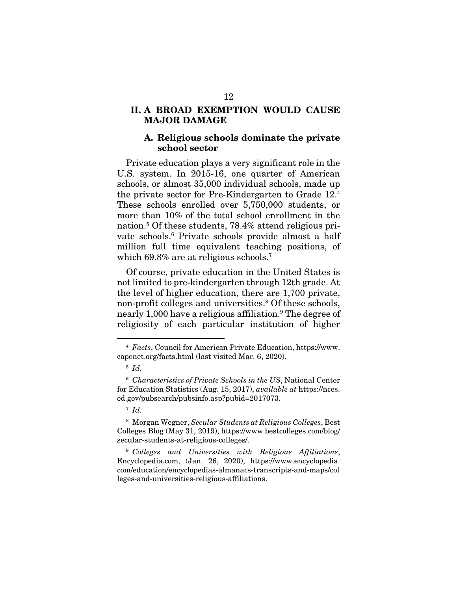## II. A BROAD EXEMPTION WOULD CAUSE MAJOR DAMAGE

#### A. Religious schools dominate the private school sector

Private education plays a very significant role in the U.S. system. In 2015-16, one quarter of American schools, or almost 35,000 individual schools, made up the private sector for Pre-Kindergarten to Grade 12.4 These schools enrolled over 5,750,000 students, or more than 10% of the total school enrollment in the nation.5 Of these students, 78.4% attend religious private schools.6 Private schools provide almost a half million full time equivalent teaching positions, of which 69.8% are at religious schools.<sup>7</sup>

Of course, private education in the United States is not limited to pre-kindergarten through 12th grade. At the level of higher education, there are 1,700 private, non-profit colleges and universities.<sup>8</sup> Of these schools, nearly 1,000 have a religious affiliation.9 The degree of religiosity of each particular institution of higher

8 Morgan Wegner, *Secular Students at Religious Colleges*, Best Colleges Blog (May 31, 2019), https://www.bestcolleges.com/blog/ secular-students-at-religious-colleges/.

9 *Colleges and Universities with Religious Affiliations*, Encyclopedia.com, (Jan. 26, 2020), https://www.encyclopedia. com/education/encyclopedias-almanacs-transcripts-and-maps/col leges-and-universities-religious-affiliations.

<sup>4</sup> *Facts*, Council for American Private Education, https://www. capenet.org/facts.html (last visited Mar. 6, 2020).

<sup>5</sup> *Id.*

<sup>6</sup> *Characteristics of Private Schools in the US*, National Center for Education Statistics (Aug. 15, 2017), *available at* https://nces. ed.gov/pubsearch/pubsinfo.asp?pubid=2017073.

<sup>7</sup> *Id.*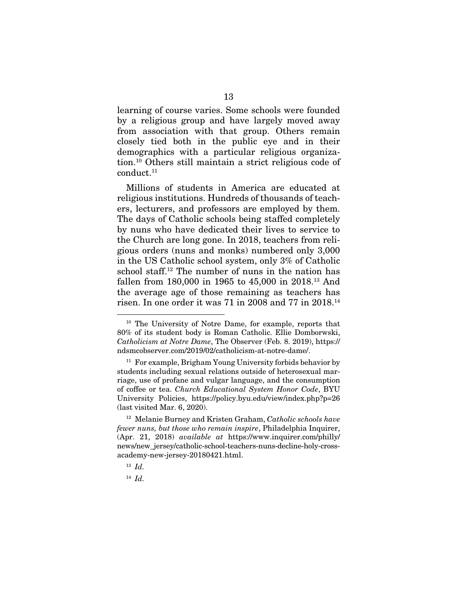learning of course varies. Some schools were founded by a religious group and have largely moved away from association with that group. Others remain closely tied both in the public eye and in their demographics with a particular religious organization.10 Others still maintain a strict religious code of conduct.<sup>11</sup>

Millions of students in America are educated at religious institutions. Hundreds of thousands of teachers, lecturers, and professors are employed by them. The days of Catholic schools being staffed completely by nuns who have dedicated their lives to service to the Church are long gone. In 2018, teachers from religious orders (nuns and monks) numbered only 3,000 in the US Catholic school system, only 3% of Catholic school staff.12 The number of nuns in the nation has fallen from 180,000 in 1965 to 45,000 in 2018.13 And the average age of those remaining as teachers has risen. In one order it was 71 in 2008 and 77 in 2018.14

14 *Id.*

<sup>10</sup> The University of Notre Dame, for example, reports that 80% of its student body is Roman Catholic. Ellie Domborwski, *Catholicism at Notre Dame*, The Observer (Feb. 8. 2019), https:// ndsmcobserver.com/2019/02/catholicism-at-notre-dame/.

<sup>11</sup> For example, Brigham Young University forbids behavior by students including sexual relations outside of heterosexual marriage, use of profane and vulgar language, and the consumption of coffee or tea. *Church Educational System Honor Code*, BYU University Policies, https://policy.byu.edu/view/index.php?p=26 (last visited Mar. 6, 2020).

<sup>12</sup> Melanie Burney and Kristen Graham, *Catholic schools have fewer nuns, but those who remain inspire*, Philadelphia Inquirer, (Apr. 21, 2018) *available at* https://www.inquirer.com/philly/ news/new\_jersey/catholic-school-teachers-nuns-decline-holy-crossacademy-new-jersey-20180421.html.

<sup>13</sup> *Id.*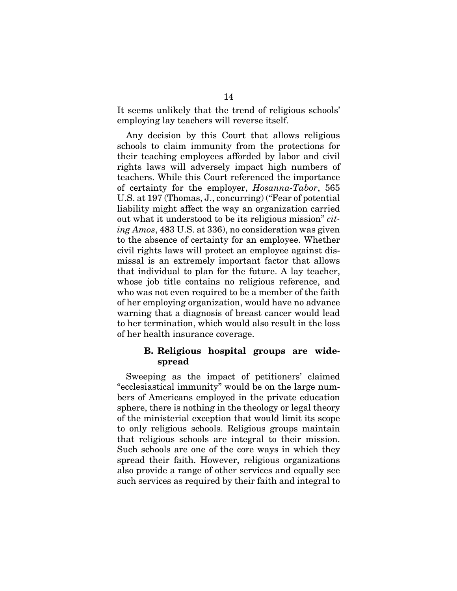It seems unlikely that the trend of religious schools' employing lay teachers will reverse itself.

Any decision by this Court that allows religious schools to claim immunity from the protections for their teaching employees afforded by labor and civil rights laws will adversely impact high numbers of teachers. While this Court referenced the importance of certainty for the employer, *Hosanna-Tabor*, 565 U.S. at 197 (Thomas, J., concurring) ("Fear of potential liability might affect the way an organization carried out what it understood to be its religious mission" *citing Amos*, 483 U.S. at 336), no consideration was given to the absence of certainty for an employee. Whether civil rights laws will protect an employee against dismissal is an extremely important factor that allows that individual to plan for the future. A lay teacher, whose job title contains no religious reference, and who was not even required to be a member of the faith of her employing organization, would have no advance warning that a diagnosis of breast cancer would lead to her termination, which would also result in the loss of her health insurance coverage.

### B. Religious hospital groups are widespread

Sweeping as the impact of petitioners' claimed "ecclesiastical immunity" would be on the large numbers of Americans employed in the private education sphere, there is nothing in the theology or legal theory of the ministerial exception that would limit its scope to only religious schools. Religious groups maintain that religious schools are integral to their mission. Such schools are one of the core ways in which they spread their faith. However, religious organizations also provide a range of other services and equally see such services as required by their faith and integral to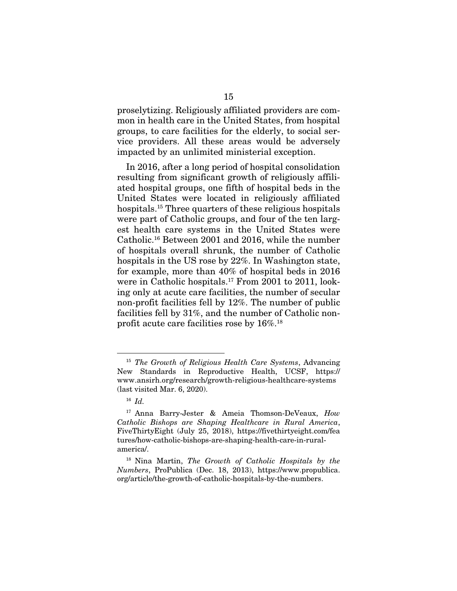proselytizing. Religiously affiliated providers are common in health care in the United States, from hospital groups, to care facilities for the elderly, to social service providers. All these areas would be adversely impacted by an unlimited ministerial exception.

In 2016, after a long period of hospital consolidation resulting from significant growth of religiously affiliated hospital groups, one fifth of hospital beds in the United States were located in religiously affiliated hospitals.15 Three quarters of these religious hospitals were part of Catholic groups, and four of the ten largest health care systems in the United States were Catholic.16 Between 2001 and 2016, while the number of hospitals overall shrunk, the number of Catholic hospitals in the US rose by 22%. In Washington state, for example, more than 40% of hospital beds in 2016 were in Catholic hospitals.17 From 2001 to 2011, looking only at acute care facilities, the number of secular non-profit facilities fell by 12%. The number of public facilities fell by 31%, and the number of Catholic nonprofit acute care facilities rose by 16%.18

<sup>15</sup> *The Growth of Religious Health Care Systems*, Advancing New Standards in Reproductive Health, UCSF, https:// www.ansirh.org/research/growth-religious-healthcare-systems (last visited Mar. 6, 2020).

<sup>16</sup> *Id.*

<sup>17</sup> Anna Barry-Jester & Ameia Thomson-DeVeaux, *How Catholic Bishops are Shaping Healthcare in Rural America*, FiveThirtyEight (July 25, 2018), https://fivethirtyeight.com/fea tures/how-catholic-bishops-are-shaping-health-care-in-ruralamerica/.

<sup>18</sup> Nina Martin, *The Growth of Catholic Hospitals by the Numbers*, ProPublica (Dec. 18, 2013), https://www.propublica. org/article/the-growth-of-catholic-hospitals-by-the-numbers.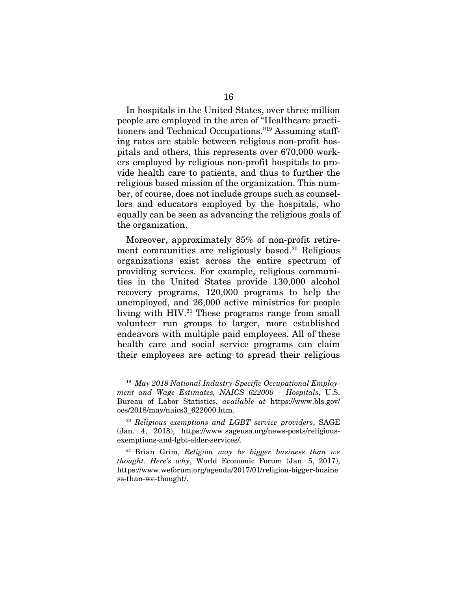In hospitals in the United States, over three million people are employed in the area of "Healthcare practitioners and Technical Occupations."19 Assuming staffing rates are stable between religious non-profit hospitals and others, this represents over 670,000 workers employed by religious non-profit hospitals to provide health care to patients, and thus to further the religious based mission of the organization. This number, of course, does not include groups such as counsellors and educators employed by the hospitals, who equally can be seen as advancing the religious goals of the organization.

Moreover, approximately 85% of non-profit retirement communities are religiously based.<sup>20</sup> Religious organizations exist across the entire spectrum of providing services. For example, religious communities in the United States provide 130,000 alcohol recovery programs, 120,000 programs to help the unemployed, and 26,000 active ministries for people living with HIV.<sup>21</sup> These programs range from small volunteer run groups to larger, more established endeavors with multiple paid employees. All of these health care and social service programs can claim their employees are acting to spread their religious

<sup>19</sup> *May 2018 National Industry-Specific Occupational Employment and Wage Estimates, NAICS 622000 – Hospitals*, U.S. Bureau of Labor Statistics, *available at* https://www.bls.gov/ oes/2018/may/naics3\_622000.htm.

<sup>20</sup> *Religious exemptions and LGBT service providers*, SAGE (Jan. 4, 2018), https://www.sageusa.org/news-posts/religiousexemptions-and-lgbt-elder-services/.

<sup>21</sup> Brian Grim, *Religion may be bigger business than we thought. Here's why*, World Economic Forum (Jan. 5, 2017), https://www.weforum.org/agenda/2017/01/religion-bigger-busine ss-than-we-thought/.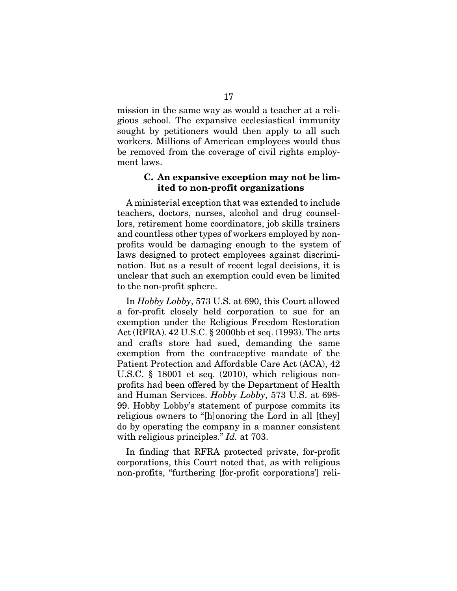mission in the same way as would a teacher at a religious school. The expansive ecclesiastical immunity sought by petitioners would then apply to all such workers. Millions of American employees would thus be removed from the coverage of civil rights employment laws.

### C. An expansive exception may not be limited to non-profit organizations

A ministerial exception that was extended to include teachers, doctors, nurses, alcohol and drug counsellors, retirement home coordinators, job skills trainers and countless other types of workers employed by nonprofits would be damaging enough to the system of laws designed to protect employees against discrimination. But as a result of recent legal decisions, it is unclear that such an exemption could even be limited to the non-profit sphere.

In *Hobby Lobby*, 573 U.S. at 690, this Court allowed a for-profit closely held corporation to sue for an exemption under the Religious Freedom Restoration Act (RFRA). 42 U.S.C. § 2000bb et seq. (1993). The arts and crafts store had sued, demanding the same exemption from the contraceptive mandate of the Patient Protection and Affordable Care Act (ACA), 42 U.S.C. § 18001 et seq. (2010), which religious nonprofits had been offered by the Department of Health and Human Services. *Hobby Lobby*, 573 U.S. at 698- 99. Hobby Lobby's statement of purpose commits its religious owners to "[h]onoring the Lord in all [they] do by operating the company in a manner consistent with religious principles." *Id.* at 703.

In finding that RFRA protected private, for-profit corporations, this Court noted that, as with religious non-profits, "furthering [for-profit corporations'] reli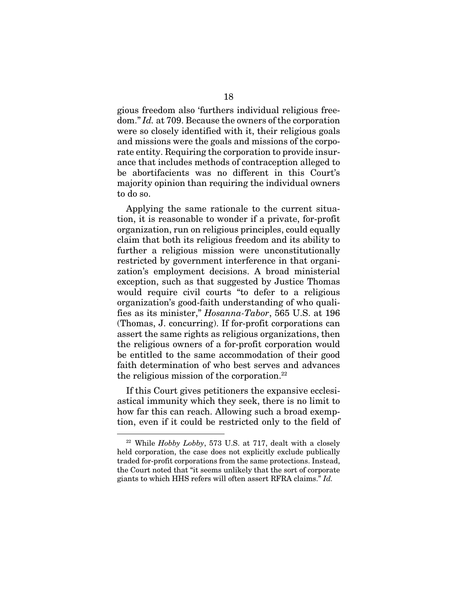gious freedom also 'furthers individual religious freedom." *Id.* at 709. Because the owners of the corporation were so closely identified with it, their religious goals and missions were the goals and missions of the corporate entity. Requiring the corporation to provide insurance that includes methods of contraception alleged to be abortifacients was no different in this Court's majority opinion than requiring the individual owners to do so.

Applying the same rationale to the current situation, it is reasonable to wonder if a private, for-profit organization, run on religious principles, could equally claim that both its religious freedom and its ability to further a religious mission were unconstitutionally restricted by government interference in that organization's employment decisions. A broad ministerial exception, such as that suggested by Justice Thomas would require civil courts "to defer to a religious organization's good-faith understanding of who qualifies as its minister," *Hosanna-Tabor*, 565 U.S. at 196 (Thomas, J. concurring). If for-profit corporations can assert the same rights as religious organizations, then the religious owners of a for-profit corporation would be entitled to the same accommodation of their good faith determination of who best serves and advances the religious mission of the corporation.<sup>22</sup>

If this Court gives petitioners the expansive ecclesiastical immunity which they seek, there is no limit to how far this can reach. Allowing such a broad exemption, even if it could be restricted only to the field of

<sup>22</sup> While *Hobby Lobby*, 573 U.S. at 717, dealt with a closely held corporation, the case does not explicitly exclude publically traded for-profit corporations from the same protections. Instead, the Court noted that "it seems unlikely that the sort of corporate giants to which HHS refers will often assert RFRA claims." *Id.*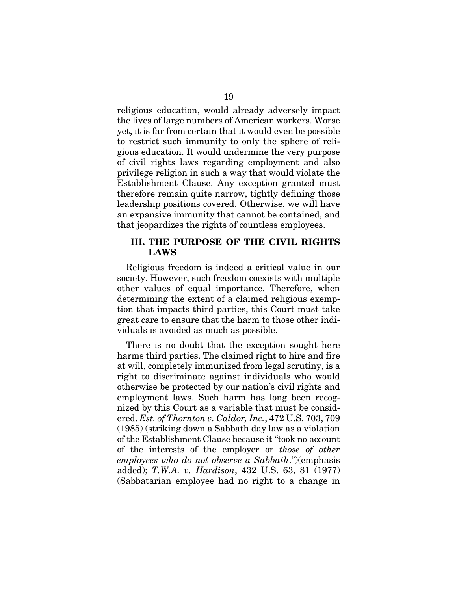religious education, would already adversely impact the lives of large numbers of American workers. Worse yet, it is far from certain that it would even be possible to restrict such immunity to only the sphere of religious education. It would undermine the very purpose of civil rights laws regarding employment and also privilege religion in such a way that would violate the Establishment Clause. Any exception granted must therefore remain quite narrow, tightly defining those leadership positions covered. Otherwise, we will have an expansive immunity that cannot be contained, and that jeopardizes the rights of countless employees.

### III. THE PURPOSE OF THE CIVIL RIGHTS LAWS

Religious freedom is indeed a critical value in our society. However, such freedom coexists with multiple other values of equal importance. Therefore, when determining the extent of a claimed religious exemption that impacts third parties, this Court must take great care to ensure that the harm to those other individuals is avoided as much as possible.

There is no doubt that the exception sought here harms third parties. The claimed right to hire and fire at will, completely immunized from legal scrutiny, is a right to discriminate against individuals who would otherwise be protected by our nation's civil rights and employment laws. Such harm has long been recognized by this Court as a variable that must be considered. *Est. of Thornton v. Caldor, Inc.*, 472 U.S. 703, 709 (1985) (striking down a Sabbath day law as a violation of the Establishment Clause because it "took no account of the interests of the employer or *those of other employees who do not observe a Sabbath*.")(emphasis added); *T.W.A. v. Hardison*, 432 U.S. 63, 81 (1977) (Sabbatarian employee had no right to a change in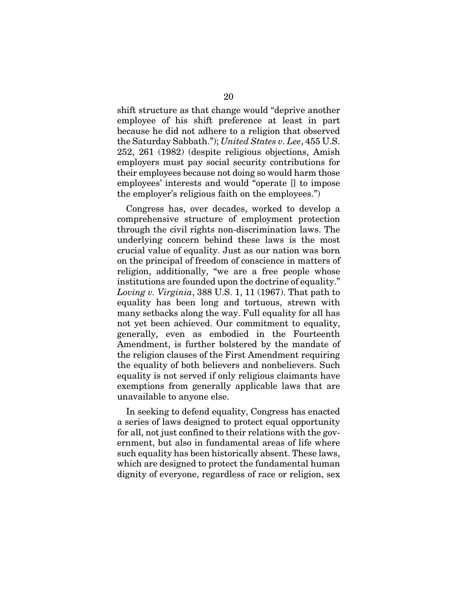shift structure as that change would "deprive another employee of his shift preference at least in part because he did not adhere to a religion that observed the Saturday Sabbath."); *United States v. Lee*, 455 U.S. 252, 261 (1982) (despite religious objections, Amish employers must pay social security contributions for their employees because not doing so would harm those employees' interests and would "operate [] to impose the employer's religious faith on the employees.")

Congress has, over decades, worked to develop a comprehensive structure of employment protection through the civil rights non-discrimination laws. The underlying concern behind these laws is the most crucial value of equality. Just as our nation was born on the principal of freedom of conscience in matters of religion, additionally, "we are a free people whose institutions are founded upon the doctrine of equality." *Loving v. Virginia*, 388 U.S. 1, 11 (1967). That path to equality has been long and tortuous, strewn with many setbacks along the way. Full equality for all has not yet been achieved. Our commitment to equality, generally, even as embodied in the Fourteenth Amendment, is further bolstered by the mandate of the religion clauses of the First Amendment requiring the equality of both believers and nonbelievers. Such equality is not served if only religious claimants have exemptions from generally applicable laws that are unavailable to anyone else.

In seeking to defend equality, Congress has enacted a series of laws designed to protect equal opportunity for all, not just confined to their relations with the government, but also in fundamental areas of life where such equality has been historically absent. These laws, which are designed to protect the fundamental human dignity of everyone, regardless of race or religion, sex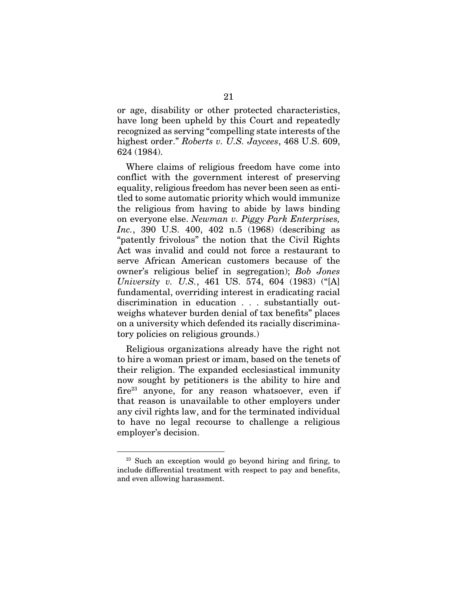or age, disability or other protected characteristics, have long been upheld by this Court and repeatedly recognized as serving "compelling state interests of the highest order." *Roberts v. U.S. Jaycees*, 468 U.S. 609, 624 (1984).

Where claims of religious freedom have come into conflict with the government interest of preserving equality, religious freedom has never been seen as entitled to some automatic priority which would immunize the religious from having to abide by laws binding on everyone else. *Newman v. Piggy Park Enterprises, Inc.*, 390 U.S. 400, 402 n.5 (1968) (describing as "patently frivolous" the notion that the Civil Rights Act was invalid and could not force a restaurant to serve African American customers because of the owner's religious belief in segregation); *Bob Jones University v. U.S.*, 461 US. 574, 604 (1983) ("[A] fundamental, overriding interest in eradicating racial discrimination in education . . . substantially outweighs whatever burden denial of tax benefits" places on a university which defended its racially discriminatory policies on religious grounds.)

Religious organizations already have the right not to hire a woman priest or imam, based on the tenets of their religion. The expanded ecclesiastical immunity now sought by petitioners is the ability to hire and  $fire<sup>23</sup>$  anyone, for any reason whatsoever, even if that reason is unavailable to other employers under any civil rights law, and for the terminated individual to have no legal recourse to challenge a religious employer's decision.

<sup>23</sup> Such an exception would go beyond hiring and firing, to include differential treatment with respect to pay and benefits, and even allowing harassment.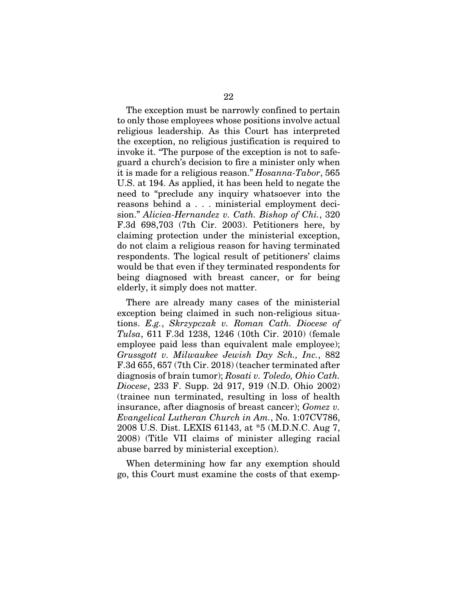The exception must be narrowly confined to pertain to only those employees whose positions involve actual religious leadership. As this Court has interpreted the exception, no religious justification is required to invoke it. "The purpose of the exception is not to safeguard a church's decision to fire a minister only when it is made for a religious reason." *Hosanna-Tabor*, 565 U.S. at 194. As applied, it has been held to negate the need to "preclude any inquiry whatsoever into the reasons behind a . . . ministerial employment decision." *Aliciea-Hernandez v. Cath. Bishop of Chi.*, 320 F.3d 698,703 (7th Cir. 2003). Petitioners here, by claiming protection under the ministerial exception, do not claim a religious reason for having terminated respondents. The logical result of petitioners' claims would be that even if they terminated respondents for being diagnosed with breast cancer, or for being elderly, it simply does not matter.

There are already many cases of the ministerial exception being claimed in such non-religious situations. *E.g.*, *Skrzypczak v. Roman Cath. Diocese of Tulsa*, 611 F.3d 1238, 1246 (10th Cir. 2010) (female employee paid less than equivalent male employee); *Grussgott v. Milwaukee Jewish Day Sch., Inc.*, 882 F.3d 655, 657 (7th Cir. 2018) (teacher terminated after diagnosis of brain tumor); *Rosati v. Toledo, Ohio Cath. Diocese*, 233 F. Supp. 2d 917, 919 (N.D. Ohio 2002) (trainee nun terminated, resulting in loss of health insurance, after diagnosis of breast cancer); *Gomez v. Evangelical Lutheran Church in Am.*, No. 1:07CV786, 2008 U.S. Dist. LEXIS 61143, at \*5 (M.D.N.C. Aug 7, 2008) (Title VII claims of minister alleging racial abuse barred by ministerial exception).

When determining how far any exemption should go, this Court must examine the costs of that exemp-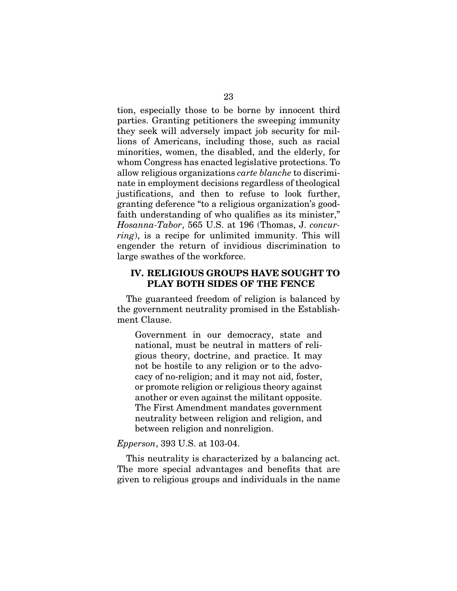tion, especially those to be borne by innocent third parties. Granting petitioners the sweeping immunity they seek will adversely impact job security for millions of Americans, including those, such as racial minorities, women, the disabled, and the elderly, for whom Congress has enacted legislative protections. To allow religious organizations *carte blanche* to discriminate in employment decisions regardless of theological justifications, and then to refuse to look further, granting deference "to a religious organization's goodfaith understanding of who qualifies as its minister," *Hosanna-Tabor*, 565 U.S. at 196 (Thomas, J. *concurring*), is a recipe for unlimited immunity. This will engender the return of invidious discrimination to large swathes of the workforce.

### IV. RELIGIOUS GROUPS HAVE SOUGHT TO PLAY BOTH SIDES OF THE FENCE

The guaranteed freedom of religion is balanced by the government neutrality promised in the Establishment Clause.

Government in our democracy, state and national, must be neutral in matters of religious theory, doctrine, and practice. It may not be hostile to any religion or to the advocacy of no-religion; and it may not aid, foster, or promote religion or religious theory against another or even against the militant opposite. The First Amendment mandates government neutrality between religion and religion, and between religion and nonreligion.

#### *Epperson*, 393 U.S. at 103-04.

This neutrality is characterized by a balancing act. The more special advantages and benefits that are given to religious groups and individuals in the name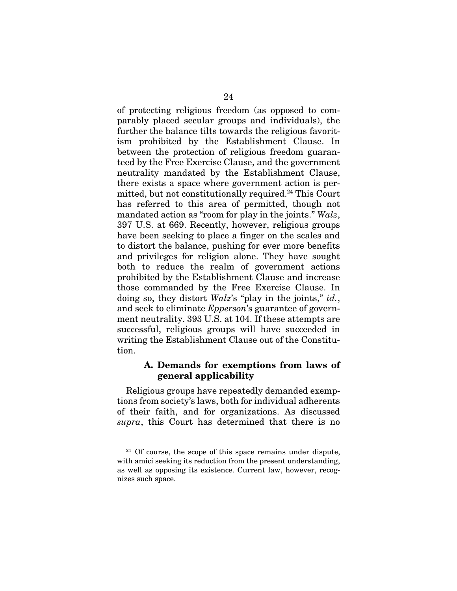of protecting religious freedom (as opposed to comparably placed secular groups and individuals), the further the balance tilts towards the religious favoritism prohibited by the Establishment Clause. In between the protection of religious freedom guaranteed by the Free Exercise Clause, and the government neutrality mandated by the Establishment Clause, there exists a space where government action is permitted, but not constitutionally required.<sup>24</sup> This Court has referred to this area of permitted, though not mandated action as "room for play in the joints." *Walz*, 397 U.S. at 669. Recently, however, religious groups have been seeking to place a finger on the scales and to distort the balance, pushing for ever more benefits and privileges for religion alone. They have sought both to reduce the realm of government actions prohibited by the Establishment Clause and increase those commanded by the Free Exercise Clause. In doing so, they distort *Walz*'s "play in the joints," *id.*, and seek to eliminate *Epperson*'s guarantee of government neutrality. 393 U.S. at 104. If these attempts are successful, religious groups will have succeeded in writing the Establishment Clause out of the Constitution.

### A. Demands for exemptions from laws of general applicability

Religious groups have repeatedly demanded exemptions from society's laws, both for individual adherents of their faith, and for organizations. As discussed *supra*, this Court has determined that there is no

<sup>&</sup>lt;sup>24</sup> Of course, the scope of this space remains under dispute, with amici seeking its reduction from the present understanding, as well as opposing its existence. Current law, however, recognizes such space.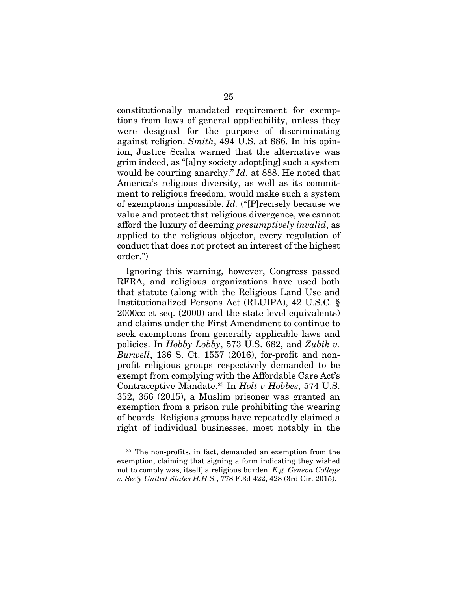constitutionally mandated requirement for exemptions from laws of general applicability, unless they were designed for the purpose of discriminating against religion. *Smith*, 494 U.S. at 886. In his opinion, Justice Scalia warned that the alternative was grim indeed, as "[a]ny society adopt[ing] such a system would be courting anarchy." *Id.* at 888. He noted that America's religious diversity, as well as its commitment to religious freedom, would make such a system of exemptions impossible. *Id.* ("[P]recisely because we value and protect that religious divergence, we cannot afford the luxury of deeming *presumptively invalid*, as applied to the religious objector, every regulation of conduct that does not protect an interest of the highest order.")

Ignoring this warning, however, Congress passed RFRA, and religious organizations have used both that statute (along with the Religious Land Use and Institutionalized Persons Act (RLUIPA), 42 U.S.C. § 2000cc et seq. (2000) and the state level equivalents) and claims under the First Amendment to continue to seek exemptions from generally applicable laws and policies. In *Hobby Lobby*, 573 U.S. 682, and *Zubik v. Burwell*, 136 S. Ct. 1557 (2016), for-profit and nonprofit religious groups respectively demanded to be exempt from complying with the Affordable Care Act's Contraceptive Mandate.25 In *Holt v Hobbes*, 574 U.S. 352, 356 (2015), a Muslim prisoner was granted an exemption from a prison rule prohibiting the wearing of beards. Religious groups have repeatedly claimed a right of individual businesses, most notably in the

<sup>&</sup>lt;sup>25</sup> The non-profits, in fact, demanded an exemption from the exemption, claiming that signing a form indicating they wished not to comply was, itself, a religious burden. *E.g. Geneva College v. Sec'y United States H.H.S.*, 778 F.3d 422, 428 (3rd Cir. 2015).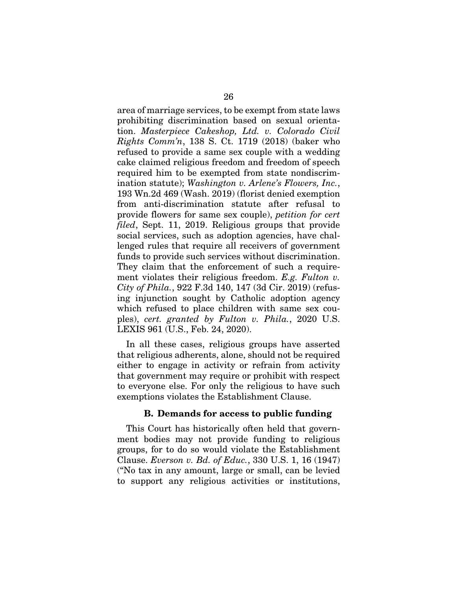area of marriage services, to be exempt from state laws prohibiting discrimination based on sexual orientation. *Masterpiece Cakeshop, Ltd. v. Colorado Civil Rights Comm'n*, 138 S. Ct. 1719 (2018) (baker who refused to provide a same sex couple with a wedding cake claimed religious freedom and freedom of speech required him to be exempted from state nondiscrimination statute); *Washington v. Arlene's Flowers, Inc.*, 193 Wn.2d 469 (Wash. 2019) (florist denied exemption from anti-discrimination statute after refusal to provide flowers for same sex couple), *petition for cert filed*, Sept. 11, 2019. Religious groups that provide social services, such as adoption agencies, have challenged rules that require all receivers of government funds to provide such services without discrimination. They claim that the enforcement of such a requirement violates their religious freedom. *E.g. Fulton v. City of Phila.*, 922 F.3d 140, 147 (3d Cir. 2019) (refusing injunction sought by Catholic adoption agency which refused to place children with same sex couples), *cert. granted by Fulton v. Phila.*, 2020 U.S. LEXIS 961 (U.S., Feb. 24, 2020).

In all these cases, religious groups have asserted that religious adherents, alone, should not be required either to engage in activity or refrain from activity that government may require or prohibit with respect to everyone else. For only the religious to have such exemptions violates the Establishment Clause.

#### B. Demands for access to public funding

This Court has historically often held that government bodies may not provide funding to religious groups, for to do so would violate the Establishment Clause. *Everson v. Bd. of Educ.*, 330 U.S. 1, 16 (1947) ("No tax in any amount, large or small, can be levied to support any religious activities or institutions,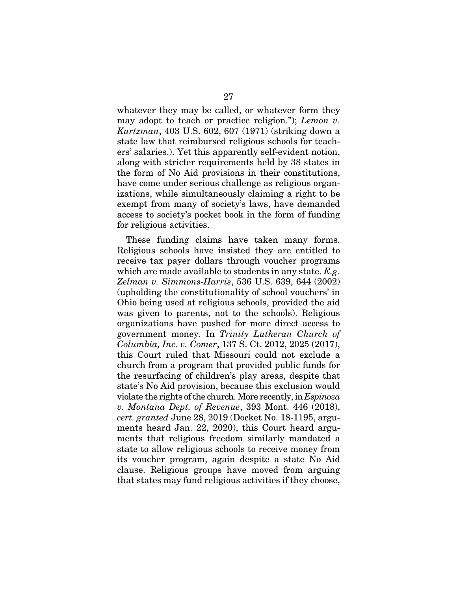whatever they may be called, or whatever form they may adopt to teach or practice religion."); *Lemon v. Kurtzman*, 403 U.S. 602, 607 (1971) (striking down a state law that reimbursed religious schools for teachers' salaries.). Yet this apparently self-evident notion, along with stricter requirements held by 38 states in the form of No Aid provisions in their constitutions, have come under serious challenge as religious organizations, while simultaneously claiming a right to be exempt from many of society's laws, have demanded access to society's pocket book in the form of funding for religious activities.

These funding claims have taken many forms. Religious schools have insisted they are entitled to receive tax payer dollars through voucher programs which are made available to students in any state. *E.g. Zelman v. Simmons-Harris*, 536 U.S. 639, 644 (2002) (upholding the constitutionality of school vouchers' in Ohio being used at religious schools, provided the aid was given to parents, not to the schools). Religious organizations have pushed for more direct access to government money. In *Trinity Lutheran Church of Columbia, Inc. v. Comer*, 137 S. Ct. 2012, 2025 (2017), this Court ruled that Missouri could not exclude a church from a program that provided public funds for the resurfacing of children's play areas, despite that state's No Aid provision, because this exclusion would violate the rights of the church. More recently, in *Espinoza v. Montana Dept. of Revenue*, 393 Mont. 446 (2018), *cert. granted* June 28, 2019 (Docket No. 18-1195, arguments heard Jan. 22, 2020), this Court heard arguments that religious freedom similarly mandated a state to allow religious schools to receive money from its voucher program, again despite a state No Aid clause. Religious groups have moved from arguing that states may fund religious activities if they choose,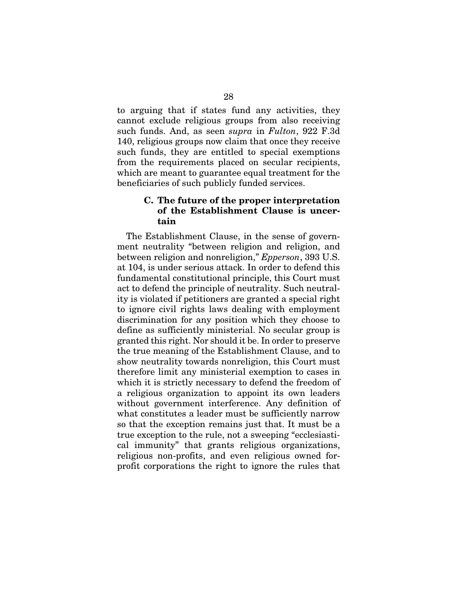to arguing that if states fund any activities, they cannot exclude religious groups from also receiving such funds. And, as seen *supra* in *Fulton*, 922 F.3d 140, religious groups now claim that once they receive such funds, they are entitled to special exemptions from the requirements placed on secular recipients, which are meant to guarantee equal treatment for the beneficiaries of such publicly funded services.

## C. The future of the proper interpretation of the Establishment Clause is uncertain

The Establishment Clause, in the sense of government neutrality "between religion and religion, and between religion and nonreligion," *Epperson*, 393 U.S. at 104, is under serious attack. In order to defend this fundamental constitutional principle, this Court must act to defend the principle of neutrality. Such neutrality is violated if petitioners are granted a special right to ignore civil rights laws dealing with employment discrimination for any position which they choose to define as sufficiently ministerial. No secular group is granted this right. Nor should it be. In order to preserve the true meaning of the Establishment Clause, and to show neutrality towards nonreligion, this Court must therefore limit any ministerial exemption to cases in which it is strictly necessary to defend the freedom of a religious organization to appoint its own leaders without government interference. Any definition of what constitutes a leader must be sufficiently narrow so that the exception remains just that. It must be a true exception to the rule, not a sweeping "ecclesiastical immunity" that grants religious organizations, religious non-profits, and even religious owned forprofit corporations the right to ignore the rules that